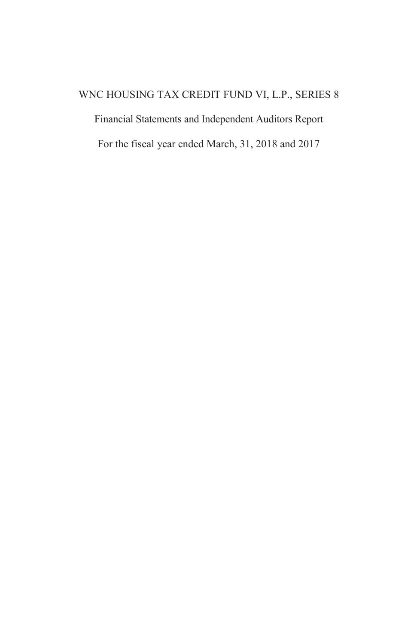# WNC HOUSING TAX CREDIT FUND VI, L.P., SERIES 8

Financial Statements and Independent Auditors Report

For the fiscal year ended March, 31, 2018 and 2017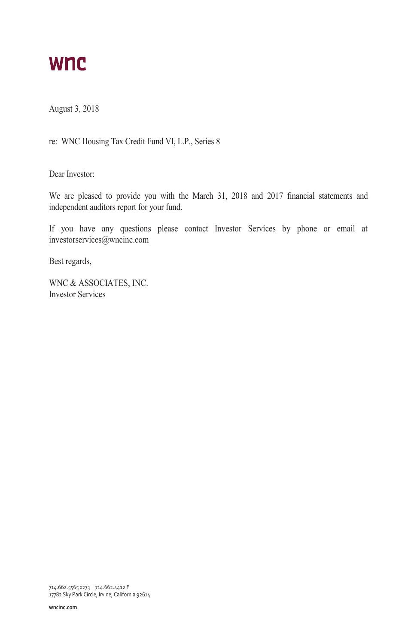# **WNC**

August 3, 2018

re: WNC Housing Tax Credit Fund VI, L.P., Series 8

Dear Investor:

We are pleased to provide you with the March 31, 2018 and 2017 financial statements and independent auditors report for your fund.

If you have any questions please contact Investor Services by phone or email at investorservices@wncinc.com

Best regards,

WNC & ASSOCIATES, INC. Investor Services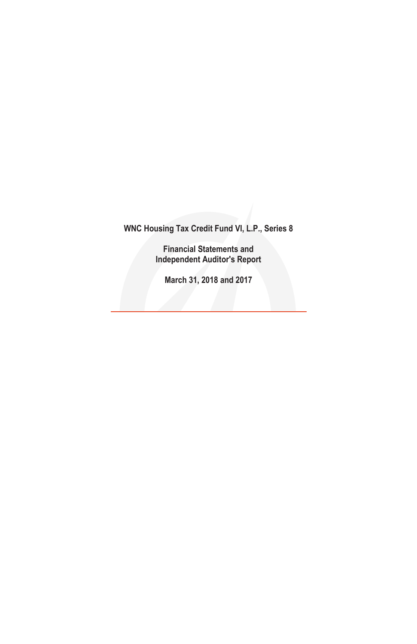**Financial Statements and Independent Auditor's Report**

**March 31, 2018 and 2017**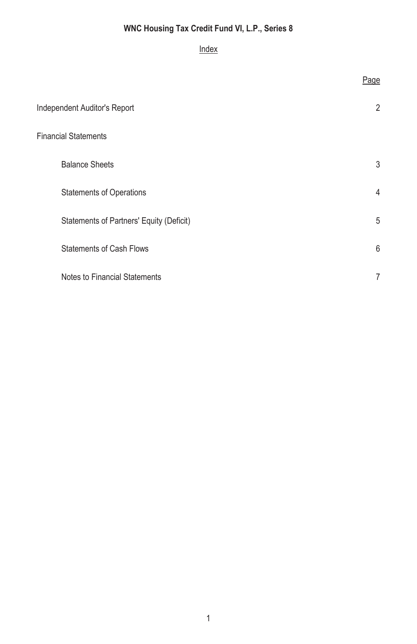# Index

|                                          | Page           |
|------------------------------------------|----------------|
| Independent Auditor's Report             | $\overline{2}$ |
| <b>Financial Statements</b>              |                |
| <b>Balance Sheets</b>                    | 3              |
| <b>Statements of Operations</b>          | 4              |
| Statements of Partners' Equity (Deficit) | 5              |
| <b>Statements of Cash Flows</b>          | 6              |
| Notes to Financial Statements            | 7              |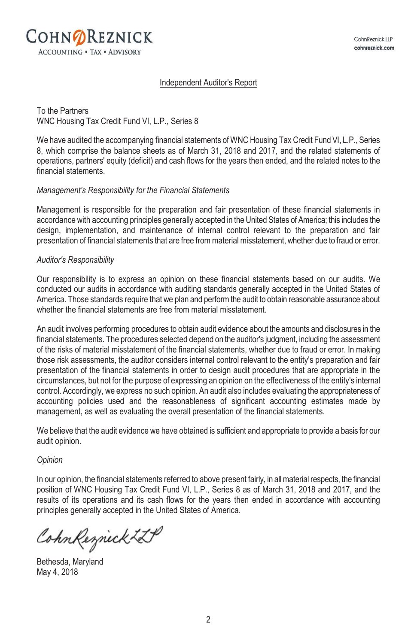#### Independent Auditor's Report

To the Partners WNC Housing Tax Credit Fund VI, L.P., Series 8

We have audited the accompanying financial statements of WNC Housing Tax Credit Fund VI, L.P., Series 8, which comprise the balance sheets as of March 31, 2018 and 2017, and the related statements of operations, partners' equity (deficit) and cash flows for the years then ended, and the related notes to the financial statements.

#### *Management's Responsibility for the Financial Statements*

Management is responsible for the preparation and fair presentation of these financial statements in accordance with accounting principles generally accepted in the United States of America; this includes the design, implementation, and maintenance of internal control relevant to the preparation and fair presentation of financial statements that are free from material misstatement, whether due to fraud or error.

#### *Auditor's Responsibility*

Our responsibility is to express an opinion on these financial statements based on our audits. We conducted our audits in accordance with auditing standards generally accepted in the United States of America. Those standards require that we plan and perform the audit to obtain reasonable assurance about whether the financial statements are free from material misstatement.

An audit involves performing procedures to obtain audit evidence about the amounts and disclosures in the financial statements. The procedures selected depend on the auditor's judgment, including the assessment of the risks of material misstatement of the financial statements, whether due to fraud or error. In making those risk assessments, the auditor considers internal control relevant to the entity's preparation and fair presentation of the financial statements in order to design audit procedures that are appropriate in the circumstances, but not for the purpose of expressing an opinion on the effectiveness of the entity's internal control. Accordingly, we express no such opinion. An audit also includes evaluating the appropriateness of accounting policies used and the reasonableness of significant accounting estimates made by management, as well as evaluating the overall presentation of the financial statements.

We believe that the audit evidence we have obtained is sufficient and appropriate to provide a basis for our audit opinion.

#### *Opinion*

In our opinion, the financial statements referred to above present fairly, in all material respects, the financial position of WNC Housing Tax Credit Fund VI, L.P., Series 8 as of March 31, 2018 and 2017, and the results of its operations and its cash flows for the years then ended in accordance with accounting principles generally accepted in the United States of America.

CohnReznick LLP

Bethesda, Maryland May 4, 2018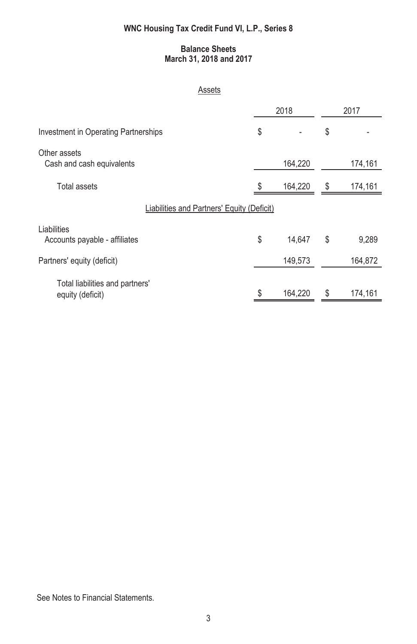# **Balance Sheets March 31, 2018 and 2017**

#### Assets

|                                                     | 2018          |    | 2017    |
|-----------------------------------------------------|---------------|----|---------|
| Investment in Operating Partnerships                | \$            | \$ |         |
| Other assets<br>Cash and cash equivalents           | 164,220       |    | 174,161 |
| Total assets                                        | \$<br>164,220 | S  | 174,161 |
| Liabilities and Partners' Equity (Deficit)          |               |    |         |
| Liabilities<br>Accounts payable - affiliates        | \$<br>14,647  | \$ | 9,289   |
| Partners' equity (deficit)                          | 149,573       |    | 164,872 |
| Total liabilities and partners'<br>equity (deficit) | \$<br>164,220 |    | 174,161 |

See Notes to Financial Statements.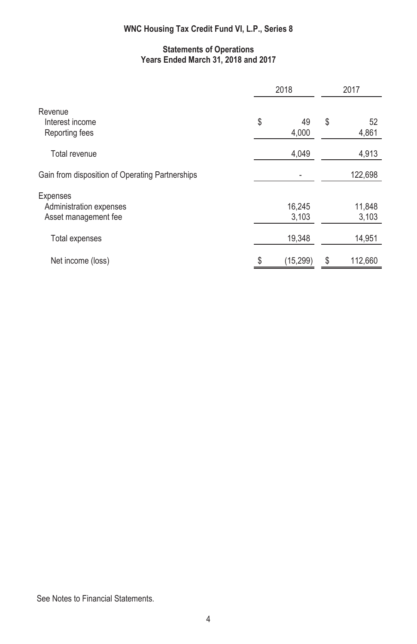# **Statements of Operations Years Ended March 31, 2018 and 2017**

|                                                             | 2018              | 2017              |
|-------------------------------------------------------------|-------------------|-------------------|
| Revenue<br>Interest income<br>Reporting fees                | \$<br>49<br>4,000 | \$<br>52<br>4,861 |
| Total revenue                                               | 4,049             | 4,913             |
| Gain from disposition of Operating Partnerships             |                   | 122,698           |
| Expenses<br>Administration expenses<br>Asset management fee | 16,245<br>3,103   | 11,848<br>3,103   |
| <b>Total expenses</b>                                       | 19,348            | 14,951            |
| Net income (loss)                                           | \$<br>(15, 299)   | \$<br>112,660     |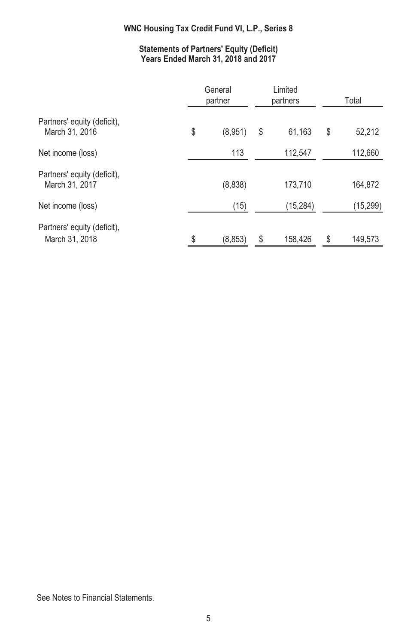# **Statements of Partners' Equity (Deficit) Years Ended March 31, 2018 and 2017**

|                                               | General<br>partner |    | Limited<br>partners |    | Total    |  |
|-----------------------------------------------|--------------------|----|---------------------|----|----------|--|
| Partners' equity (deficit),<br>March 31, 2016 | \$<br>(8,951)      | \$ | 61,163              | \$ | 52,212   |  |
| Net income (loss)                             | 113                |    | 112,547             |    | 112,660  |  |
| Partners' equity (deficit),<br>March 31, 2017 | (8,838)            |    | 173,710             |    | 164,872  |  |
| Net income (loss)                             | (15)               |    | (15, 284)           |    | (15,299) |  |
| Partners' equity (deficit),<br>March 31, 2018 | \$<br>(8, 853)     | \$ | 158,426             | \$ | 149,573  |  |

See Notes to Financial Statements.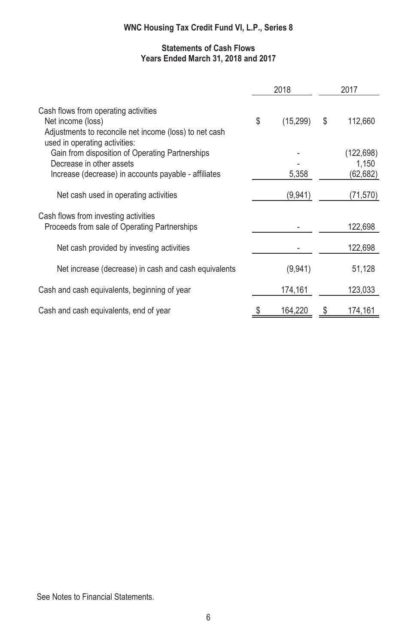# **Statements of Cash Flows Years Ended March 31, 2018 and 2017**

|                                                                                                                                                      | 2018            | 2017                |
|------------------------------------------------------------------------------------------------------------------------------------------------------|-----------------|---------------------|
| Cash flows from operating activities<br>Net income (loss)<br>Adjustments to reconcile net income (loss) to net cash<br>used in operating activities: | \$<br>(15, 299) | \$<br>112,660       |
| Gain from disposition of Operating Partnerships<br>Decrease in other assets                                                                          |                 | (122, 698)<br>1,150 |
| Increase (decrease) in accounts payable - affiliates                                                                                                 | 5,358           | (62,682)            |
| Net cash used in operating activities                                                                                                                | (9,941)         | (71,570)            |
| Cash flows from investing activities<br>Proceeds from sale of Operating Partnerships                                                                 |                 | 122,698             |
| Net cash provided by investing activities                                                                                                            |                 | 122,698             |
| Net increase (decrease) in cash and cash equivalents                                                                                                 | (9,941)         | 51,128              |
| Cash and cash equivalents, beginning of year                                                                                                         | 174,161         | 123,033             |
| Cash and cash equivalents, end of year                                                                                                               | \$<br>164,220   | 174,161             |

See Notes to Financial Statements.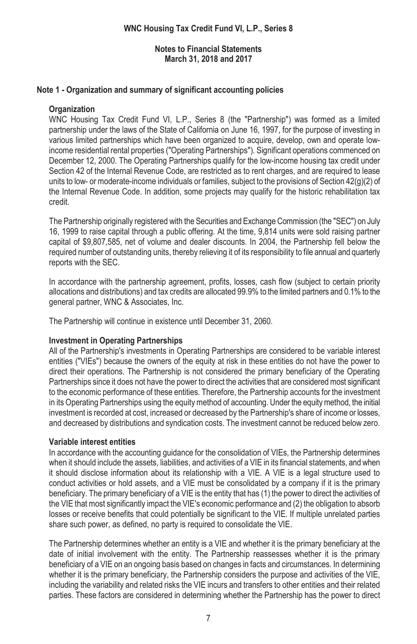# **Note 1 - Organization and summary of significant accounting policies**

## **Organization**

WNC Housing Tax Credit Fund VI, L.P., Series 8 (the "Partnership") was formed as a limited partnership under the laws of the State of California on June 16, 1997, for the purpose of investing in various limited partnerships which have been organized to acquire, develop, own and operate lowincome residential rental properties ("Operating Partnerships"). Significant operations commenced on December 12, 2000. The Operating Partnerships qualify for the low-income housing tax credit under Section 42 of the Internal Revenue Code, are restricted as to rent charges, and are required to lease units to low- or moderate-income individuals or families, subject to the provisions of Section 42(g)(2) of the Internal Revenue Code. In addition, some projects may qualify for the historic rehabilitation tax credit.

The Partnership originally registered with the Securities and Exchange Commission (the "SEC") on July 16, 1999 to raise capital through a public offering. At the time, 9,814 units were sold raising partner capital of \$9,807,585, net of volume and dealer discounts. In 2004, the Partnership fell below the required number of outstanding units, thereby relieving it of its responsibility to file annual and quarterly reports with the SEC.

In accordance with the partnership agreement, profits, losses, cash flow (subject to certain priority allocations and distributions) and tax credits are allocated 99.9% to the limited partners and 0.1% to the general partner, WNC & Associates, Inc.

The Partnership will continue in existence until December 31, 2060.

# **Investment in Operating Partnerships**

All of the Partnership's investments in Operating Partnerships are considered to be variable interest entities ("VIEs") because the owners of the equity at risk in these entities do not have the power to direct their operations. The Partnership is not considered the primary beneficiary of the Operating Partnerships since it does not have the power to direct the activities that are considered most significant to the economic performance of these entities. Therefore, the Partnership accounts for the investment in its Operating Partnerships using the equity method of accounting. Under the equity method, the initial investment is recorded at cost, increased or decreased by the Partnership's share of income or losses, and decreased by distributions and syndication costs. The investment cannot be reduced below zero.

# **Variable interest entities**

In accordance with the accounting guidance for the consolidation of VIEs, the Partnership determines when it should include the assets, liabilities, and activities of a VIE in its financial statements, and when it should disclose information about its relationship with a VIE. A VIE is a legal structure used to conduct activities or hold assets, and a VIE must be consolidated by a company if it is the primary beneficiary. The primary beneficiary of a VIE is the entity that has (1) the power to direct the activities of the VIE that most significantly impact the VIE's economic performance and (2) the obligation to absorb losses or receive benefits that could potentially be significant to the VIE. If multiple unrelated parties share such power, as defined, no party is required to consolidate the VIE.

The Partnership determines whether an entity is a VIE and whether it is the primary beneficiary at the date of initial involvement with the entity. The Partnership reassesses whether it is the primary beneficiary of a VIE on an ongoing basis based on changes in facts and circumstances. In determining whether it is the primary beneficiary, the Partnership considers the purpose and activities of the VIE, including the variability and related risks the VIE incurs and transfers to other entities and their related parties. These factors are considered in determining whether the Partnership has the power to direct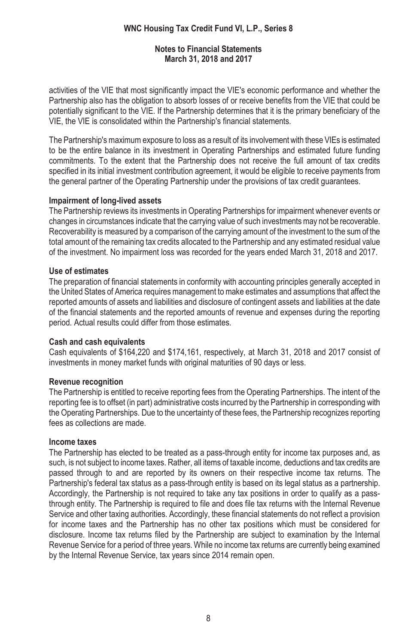#### **Notes to Financial Statements March 31, 2018 and 2017**

activities of the VIE that most significantly impact the VIE's economic performance and whether the Partnership also has the obligation to absorb losses of or receive benefits from the VIE that could be potentially significant to the VIE. If the Partnership determines that it is the primary beneficiary of the VIE, the VIE is consolidated within the Partnership's financial statements.

The Partnership's maximum exposure to loss as a result of its involvement with these VIEs is estimated to be the entire balance in its investment in Operating Partnerships and estimated future funding commitments. To the extent that the Partnership does not receive the full amount of tax credits specified in its initial investment contribution agreement, it would be eligible to receive payments from the general partner of the Operating Partnership under the provisions of tax credit guarantees.

## **Impairment of long-lived assets**

The Partnership reviews its investments in Operating Partnerships for impairment whenever events or changes in circumstances indicate that the carrying value of such investments may not be recoverable. Recoverability is measured by a comparison of the carrying amount of the investment to the sum of the total amount of the remaining tax credits allocated to the Partnership and any estimated residual value of the investment. No impairment loss was recorded for the years ended March 31, 2018 and 2017.

### **Use of estimates**

The preparation of financial statements in conformity with accounting principles generally accepted in the United States of America requires management to make estimates and assumptions that affect the reported amounts of assets and liabilities and disclosure of contingent assets and liabilities at the date of the financial statements and the reported amounts of revenue and expenses during the reporting period. Actual results could differ from those estimates.

#### **Cash and cash equivalents**

Cash equivalents of \$164,220 and \$174,161, respectively, at March 31, 2018 and 2017 consist of investments in money market funds with original maturities of 90 days or less.

# **Revenue recognition**

The Partnership is entitled to receive reporting fees from the Operating Partnerships. The intent of the reporting fee is to offset (in part) administrative costs incurred by the Partnership in corresponding with the Operating Partnerships. Due to the uncertainty of these fees, the Partnership recognizes reporting fees as collections are made.

#### **Income taxes**

The Partnership has elected to be treated as a pass-through entity for income tax purposes and, as such, is not subject to income taxes. Rather, all items of taxable income, deductions and tax credits are passed through to and are reported by its owners on their respective income tax returns. The Partnership's federal tax status as a pass-through entity is based on its legal status as a partnership. Accordingly, the Partnership is not required to take any tax positions in order to qualify as a passthrough entity. The Partnership is required to file and does file tax returns with the Internal Revenue Service and other taxing authorities. Accordingly, these financial statements do not reflect a provision for income taxes and the Partnership has no other tax positions which must be considered for disclosure. Income tax returns filed by the Partnership are subject to examination by the Internal Revenue Service for a period of three years. While no income tax returns are currently being examined by the Internal Revenue Service, tax years since 2014 remain open.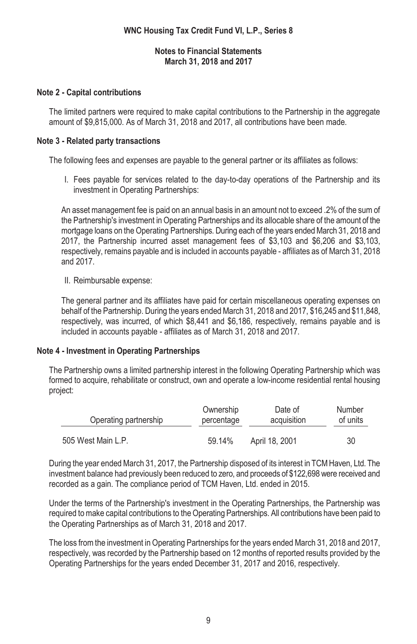# **Note 2 - Capital contributions**

The limited partners were required to make capital contributions to the Partnership in the aggregate amount of \$9,815,000. As of March 31, 2018 and 2017, all contributions have been made.

### **Note 3 - Related party transactions**

The following fees and expenses are payable to the general partner or its affiliates as follows:

I. Fees payable for services related to the day-to-day operations of the Partnership and its investment in Operating Partnerships:

An asset management fee is paid on an annual basis in an amount not to exceed .2% of the sum of the Partnership's investment in Operating Partnerships and its allocable share of the amount of the mortgage loans on the Operating Partnerships. During each of the years ended March 31, 2018 and 2017, the Partnership incurred asset management fees of \$3,103 and \$6,206 and \$3,103, respectively, remains payable and is included in accounts payable - affiliates as of March 31, 2018 and 2017.

II. Reimbursable expense:

The general partner and its affiliates have paid for certain miscellaneous operating expenses on behalf of the Partnership. During the years ended March 31, 2018 and 2017, \$16,245 and \$11,848, respectively, was incurred, of which \$8,441 and \$6,186, respectively, remains payable and is included in accounts payable - affiliates as of March 31, 2018 and 2017.

#### **Note 4 - Investment in Operating Partnerships**

The Partnership owns a limited partnership interest in the following Operating Partnership which was formed to acquire, rehabilitate or construct, own and operate a low-income residential rental housing project:

| Operating partnership | Ownership  | Date of        | Number   |
|-----------------------|------------|----------------|----------|
|                       | percentage | acquisition    | of units |
| 505 West Main L.P.    | 59.14%     | April 18, 2001 | 30       |

During the year ended March 31, 2017, the Partnership disposed of its interest in TCM Haven, Ltd. The investment balance had previously been reduced to zero, and proceeds of \$122,698 were received and recorded as a gain. The compliance period of TCM Haven, Ltd. ended in 2015.

Under the terms of the Partnership's investment in the Operating Partnerships, the Partnership was required to make capital contributions to the Operating Partnerships. All contributions have been paid to the Operating Partnerships as of March 31, 2018 and 2017.

The loss from the investment in Operating Partnerships for the years ended March 31, 2018 and 2017, respectively, was recorded by the Partnership based on 12 months of reported results provided by the Operating Partnerships for the years ended December 31, 2017 and 2016, respectively.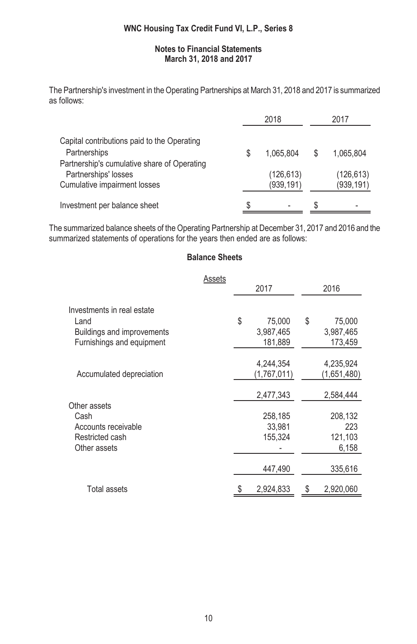#### **Notes to Financial Statements March 31, 2018 and 2017**

The Partnership's investment in the Operating Partnerships at March 31, 2018 and 2017 is summarized as follows:

|                                             | 2018       |   | 2017       |  |
|---------------------------------------------|------------|---|------------|--|
| Capital contributions paid to the Operating |            |   |            |  |
| Partnerships                                | 1.065.804  |   | 1.065.804  |  |
| Partnership's cumulative share of Operating |            |   |            |  |
| Partnerships' losses                        | (126, 613) |   | (126, 613) |  |
| <b>Cumulative impairment losses</b>         | (939, 191) |   | (939, 191) |  |
| Investment per balance sheet                |            | S |            |  |

The summarized balance sheets of the Operating Partnership at December 31, 2017 and 2016 and the summarized statements of operations for the years then ended are as follows:

# **Balance Sheets**

|                            | Assets |              |      |             |  |
|----------------------------|--------|--------------|------|-------------|--|
|                            |        | 2017         | 2016 |             |  |
| Investments in real estate |        |              |      |             |  |
| Land                       |        | \$<br>75,000 | \$   | 75,000      |  |
| Buildings and improvements |        | 3,987,465    |      | 3,987,465   |  |
| Furnishings and equipment  |        | 181,889      |      | 173,459     |  |
|                            |        |              |      |             |  |
|                            |        | 4,244,354    |      | 4,235,924   |  |
| Accumulated depreciation   |        | (1,767,011)  |      | (1,651,480) |  |
|                            |        |              |      |             |  |
|                            |        | 2,477,343    |      | 2,584,444   |  |
| Other assets               |        |              |      |             |  |
| Cash                       |        | 258,185      |      | 208,132     |  |
| Accounts receivable        |        | 33,981       |      | 223         |  |
| Restricted cash            |        | 155,324      |      | 121,103     |  |
| Other assets               |        |              |      | 6,158       |  |
|                            |        | 447,490      |      | 335,616     |  |
| <b>Total assets</b>        |        | 2,924,833    | \$   | 2,920,060   |  |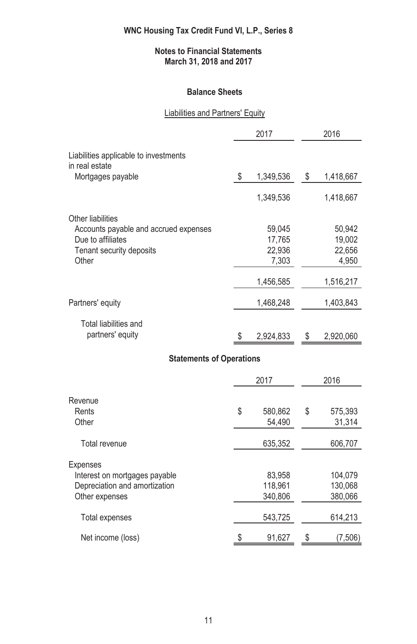# **Balance Sheets**

# Liabilities and Partners' Equity

|                                           | 2017            | 2016            |
|-------------------------------------------|-----------------|-----------------|
| Liabilities applicable to investments     |                 |                 |
| in real estate                            |                 |                 |
| Mortgages payable                         | \$<br>1,349,536 | \$<br>1,418,667 |
|                                           | 1,349,536       | 1,418,667       |
| Other liabilities                         |                 |                 |
| Accounts payable and accrued expenses     | 59,045          | 50,942          |
| Due to affiliates                         | 17,765          | 19,002          |
| Tenant security deposits                  | 22,936          | 22,656          |
| Other                                     | 7,303           | 4,950           |
|                                           | 1,456,585       | 1,516,217       |
| Partners' equity                          | 1,468,248       | 1,403,843       |
|                                           |                 |                 |
| Total liabilities and<br>partners' equity |                 |                 |
|                                           | \$<br>2,924,833 | \$<br>2,920,060 |
| <b>Statements of Operations</b>           |                 |                 |
|                                           | 2017            | 2016            |
|                                           |                 |                 |
| Revenue                                   |                 |                 |
| Rents                                     | \$<br>580,862   | \$<br>575,393   |
| Other                                     | 54,490          | 31,314          |
| Total revenue                             | 635,352         | 606,707         |
| <b>Expenses</b>                           |                 |                 |
| Interest on mortgages payable             | 83,958          | 104,079         |
| Depreciation and amortization             | 118,961         | 130,068         |
| Other expenses                            | 340,806         | 380,066         |
| Total expenses                            | 543,725         | 614,213         |
|                                           |                 |                 |
| Net income (loss)                         | \$<br>91,627    | \$<br>(7,506)   |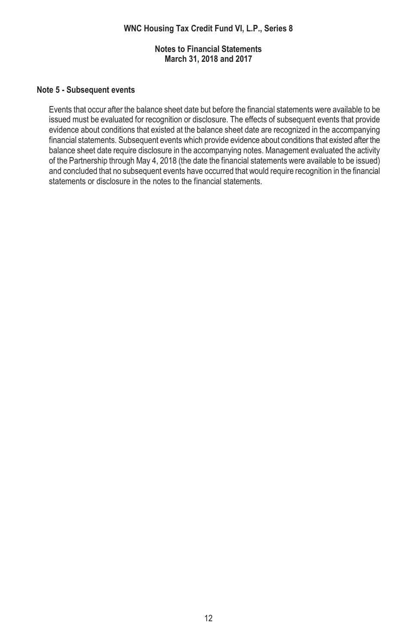# **Note 5 - Subsequent events**

Events that occur after the balance sheet date but before the financial statements were available to be issued must be evaluated for recognition or disclosure. The effects of subsequent events that provide evidence about conditions that existed at the balance sheet date are recognized in the accompanying financial statements. Subsequent events which provide evidence about conditions that existed after the balance sheet date require disclosure in the accompanying notes. Management evaluated the activity of the Partnership through May 4, 2018 (the date the financial statements were available to be issued) and concluded that no subsequent events have occurred that would require recognition in the financial statements or disclosure in the notes to the financial statements.